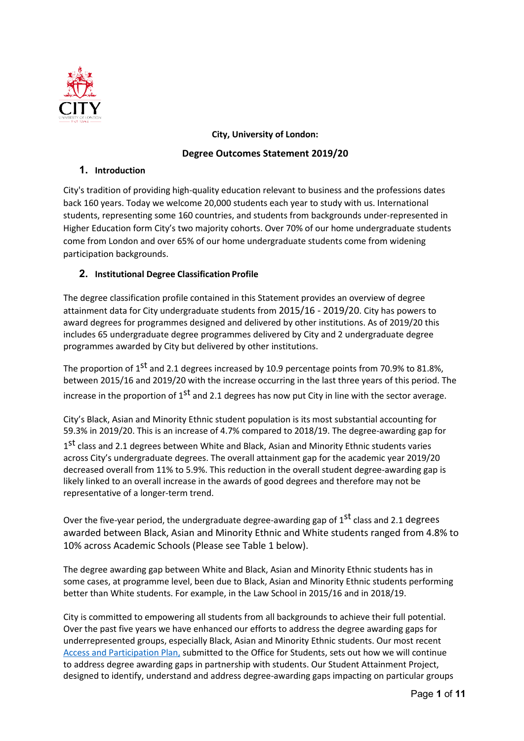

# **City, University of London: Degree Outcomes Statement 2019/20**

# **1. Introduction**

City's tradition of providing high-quality education relevant to business and the professions dates back 160 years. Today we welcome 20,000 students each year to study with us. International students, representing some 160 countries, and students from backgrounds under-represented in Higher Education form City's two majority cohorts. Over 70% of our home undergraduate students come from London and over 65% of our home undergraduate students come from widening participation backgrounds.

# **2. Institutional Degree Classification Profile**

The degree classification profile contained in this Statement provides an overview of degree attainment data for City undergraduate students from 2015/16 - 2019/20. City has powers to award degrees for programmes designed and delivered by other institutions. As of 2019/20 this includes 65 undergraduate degree programmes delivered by City and 2 undergraduate degree programmes awarded by City but delivered by other institutions.

The proportion of 1<sup>st</sup> and 2.1 degrees increased by 10.9 percentage points from 70.9% to 81.8%, between 2015/16 and 2019/20 with the increase occurring in the last three years of this period. The increase in the proportion of  $1<sup>st</sup>$  and 2.1 degrees has now put City in line with the sector average.

City's Black, Asian and Minority Ethnic student population is its most substantial accounting for 59.3% in 2019/20. This is an increase of 4.7% compared to 2018/19. The degree-awarding gap for

1<sup>st</sup> class and 2.1 degrees between White and Black, Asian and Minority Ethnic students varies across City's undergraduate degrees. The overall attainment gap for the academic year 2019/20 decreased overall from 11% to 5.9%. This reduction in the overall student degree-awarding gap is likely linked to an overall increase in the awards of good degrees and therefore may not be representative of a longer-term trend.

Over the five-year period, the undergraduate degree-awarding gap of 1<sup>st</sup> class and 2.1 degrees awarded between Black, Asian and Minority Ethnic and White students ranged from 4.8% to 10% across Academic Schools (Please see Table 1 below).

The degree awarding gap between White and Black, Asian and Minority Ethnic students has in some cases, at programme level, been due to Black, Asian and Minority Ethnic students performing better than White students. For example, in the Law School in 2015/16 and in 2018/19.

City is committed to empowering all students from all backgrounds to achieve their full potential. Over the past five years we have enhanced our efforts to address the degree awarding gaps for underrepresented groups, especially Black, Asian and Minority Ethnic students. Our most recent [Access and Participation Plan,](https://www.city.ac.uk/about/governance/legal/office-for-students-ofs) submitted to the Office for Students, sets out how we will continue to address degree awarding gaps in partnership with students. Our Student Attainment Project, designed to identify, understand and address degree-awarding gaps impacting on particular groups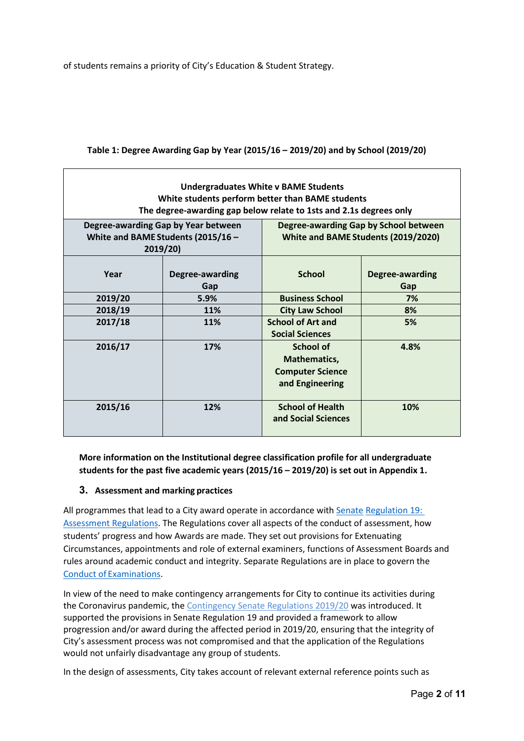of students remains a priority of City's Education & Student Strategy.

| <b>Undergraduates White v BAME Students</b><br>White students perform better than BAME students<br>The degree-awarding gap below relate to 1sts and 2.1s degrees only |                                                                                       |                                                                                |                        |  |  |  |
|-----------------------------------------------------------------------------------------------------------------------------------------------------------------------|---------------------------------------------------------------------------------------|--------------------------------------------------------------------------------|------------------------|--|--|--|
|                                                                                                                                                                       | Degree-awarding Gap by Year between<br>White and BAME Students (2015/16 -<br>2019/20) | Degree-awarding Gap by School between<br>White and BAME Students (2019/2020)   |                        |  |  |  |
| Year                                                                                                                                                                  | Degree-awarding<br>Gap                                                                | <b>School</b>                                                                  | Degree-awarding<br>Gap |  |  |  |
| 2019/20                                                                                                                                                               | 5.9%                                                                                  | <b>Business School</b>                                                         | 7%                     |  |  |  |
| 2018/19                                                                                                                                                               | 11%                                                                                   | <b>City Law School</b>                                                         | 8%                     |  |  |  |
| 2017/18                                                                                                                                                               | 11%                                                                                   | <b>School of Art and</b><br><b>Social Sciences</b>                             | 5%                     |  |  |  |
| 2016/17                                                                                                                                                               | 17%                                                                                   | <b>School of</b><br>Mathematics,<br><b>Computer Science</b><br>and Engineering | 4.8%                   |  |  |  |
| 2015/16                                                                                                                                                               | 12%                                                                                   | <b>School of Health</b><br>and Social Sciences                                 | 10%                    |  |  |  |

#### **Table 1: Degree Awarding Gap by Year (2015/16 – 2019/20) and by School (2019/20)**

**More information on the Institutional degree classification profile for all undergraduate students for the past five academic years (2015/16 – 2019/20) is set out in Appendix 1.**

#### **3. Assessment and marking practices**

All programmes that lead to a City award operate in accordance with [Senate](https://www.city.ac.uk/__data/assets/pdf_file/0007/453652/s19.pdf) [Regulation 19:](https://www.city.ac.uk/__data/assets/pdf_file/0007/453652/s19.pdf)  [Assessment Regulations.](https://www.city.ac.uk/__data/assets/pdf_file/0007/453652/s19.pdf) The Regulations cover all aspects of the conduct of assessment, how students' progress and how Awards are made. They set out provisions for Extenuating Circumstances, appointments and role of external examiners, functions of Assessment Boards and rules around academic conduct and integrity. Separate Regulations are in place to govern the Conduct of [Examinations.](http://www.city.ac.uk/__data/assets/pdf_file/0004/201577/Senate_Regulation_11_Conduct_of_Examinations-20130923.pdf)

In view of the need to make contingency arrangements for City to continue its activities during the Coronavirus pandemic, the [Contingency Senate Regulations](https://staffhub.city.ac.uk/_media/intranet-site/documents/s-and-as/Contingency-Senate-Regulation-2019-20.pdf) 2019/20 was introduced. It supported the provisions in Senate Regulation 19 and provided a framework to allow progression and/or award during the affected period in 2019/20, ensuring that the integrity of City's assessment process was not compromised and that the application of the Regulations would not unfairly disadvantage any group of students.

In the design of assessments, City takes account of relevant external reference points such as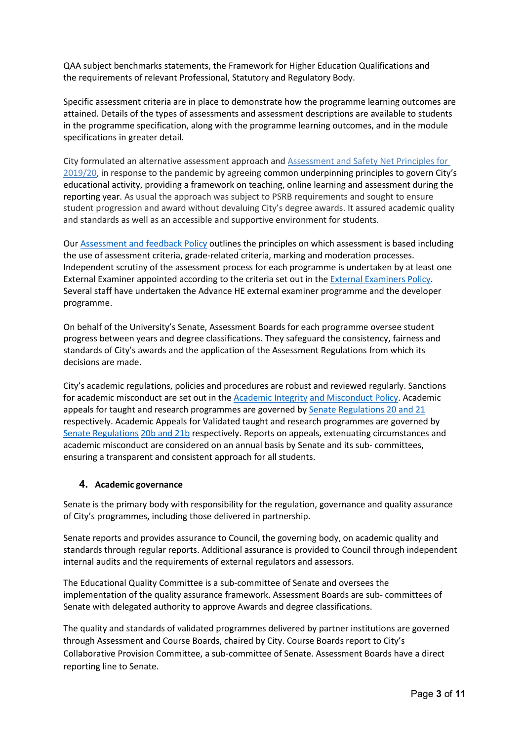QAA subject benchmarks statements, the Framework for Higher Education Qualifications and the requirements of relevant Professional, Statutory and Regulatory Body.

Specific assessment criteria are in place to demonstrate how the programme learning outcomes are attained. Details of the types of assessments and assessment descriptions are available to students in the programme specification, along with the programme learning outcomes, and in the module specifications in greater detail.

City formulated an alternative assessment approach and [Assessment and Safety Net Principles](https://staffhub.city.ac.uk/_media/intranet-site/documents/s-and-as/Assessment-Principles-2020.pdf) for [2019/20,](https://staffhub.city.ac.uk/_media/intranet-site/documents/s-and-as/Assessment-Principles-2020.pdf) in response to the pandemic by agreeing common underpinning principles to govern City's educational activity, providing a framework on teaching, online learning and assessment during the reporting year. As usual the approach was subject to PSRB requirements and sought to ensure student progression and award without devaluing City's degree awards. It assured academic quality and standards as well as an accessible and supportive environment for students.

Our [Assessment and feedback Policy](https://www.city.ac.uk/__data/assets/pdf_file/0009/452565/Assessment-and-Feedback-Policy...pdf) outlines the principles on which assessment is based including the use of assessment criteria, grade-related criteria, marking and moderation processes. Independent scrutiny of the assessment process for each programme is undertaken by at least one External Examiner appointed according to the criteria set out in the [External Examiners Policy.](http://www.city.ac.uk/__data/assets/pdf_file/0019/343450/External-Examiners-Policy.pdf) Several staff have undertaken the Advance HE external examiner programme and the developer programme.

On behalf of the University's Senate, Assessment Boards for each programme oversee student progress between years and degree classifications. They safeguard the consistency, fairness and standards of City's awards and the application of the Assessment Regulations from which its decisions are made.

City's academic regulations, policies and procedures are robust and reviewed regularly. Sanctions for academic misconduct are set out in th[e Academic Integrity](https://www.city.ac.uk/__data/assets/pdf_file/0008/494576/Academic-Integrity-and-Misconduct-Policy-and-Guidance.pdf) [and Misconduct Policy.](https://www.city.ac.uk/__data/assets/pdf_file/0008/494576/Academic-Integrity-and-Misconduct-Policy-and-Guidance.pdf) Academic appeals for taught and research programmes are governed by [Senate Regulations 20 and 21](https://www.city.ac.uk/about/governance/constitution/senate-regulations) respectively. Academic Appeals for Validated taught and research programmes are governed by [Senate Regulations](https://www.city.ac.uk/about/governance/constitution/senate-regulations) [20b and 21b](https://www.city.ac.uk/about/governance/constitution/senate-regulations) respectively. Reports on appeals, extenuating circumstances and academic misconduct are considered on an annual basis by Senate and its sub- committees, ensuring a transparent and consistent approach for all students.

#### **4. Academic governance**

Senate is the primary body with responsibility for the regulation, governance and quality assurance of City's programmes, including those delivered in partnership.

Senate reports and provides assurance to Council, the governing body, on academic quality and standards through regular reports. Additional assurance is provided to Council through independent internal audits and the requirements of external regulators and assessors.

The Educational Quality Committee is a sub-committee of Senate and oversees the implementation of the quality assurance framework. Assessment Boards are sub- committees of Senate with delegated authority to approve Awards and degree classifications.

The quality and standards of validated programmes delivered by partner institutions are governed through Assessment and Course Boards, chaired by City. Course Boards report to City's Collaborative Provision Committee, a sub-committee of Senate. Assessment Boards have a direct reporting line to Senate.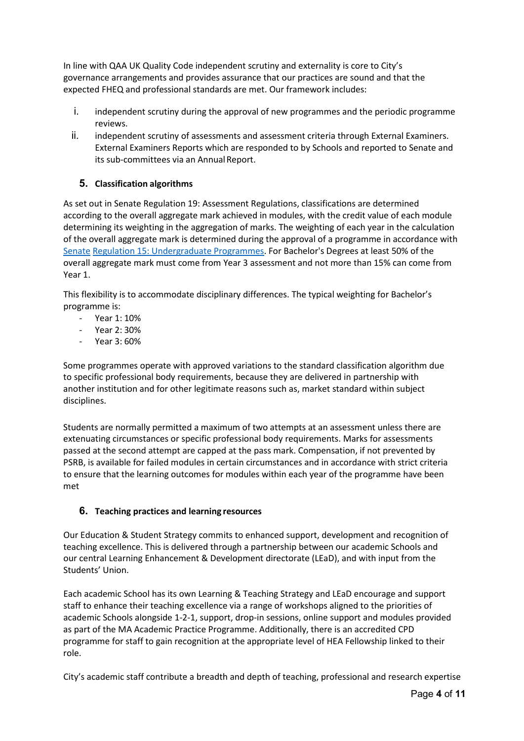In line with QAA UK Quality Code independent scrutiny and externality is core to City's governance arrangements and provides assurance that our practices are sound and that the expected FHEQ and professional standards are met. Our framework includes:

- i. independent scrutiny during the approval of new programmes and the periodic programme reviews.
- ii. independent scrutiny of assessments and assessment criteria through External Examiners. External Examiners Reports which are responded to by Schools and reported to Senate and its sub-committees via an Annual Report.

## **5. Classification algorithms**

As set out in Senate Regulation 19: Assessment Regulations, classifications are determined according to the overall aggregate mark achieved in modules, with the credit value of each module determining its weighting in the aggregation of marks. The weighting of each year in the calculation of the overall aggregate mark is determined during the approval of a programme in accordance with [Senate](https://www.city.ac.uk/__data/assets/pdf_file/0019/338023/Senate_Regulation_15_Undergraduate_Programmes_20161118.pdf.pdf) [Regulation 15: Undergraduate Programmes.](https://www.city.ac.uk/__data/assets/pdf_file/0019/338023/Senate_Regulation_15_Undergraduate_Programmes_20161118.pdf.pdf) For Bachelor's Degrees at least 50% of the overall aggregate mark must come from Year 3 assessment and not more than 15% can come from Year 1.

This flexibility is to accommodate disciplinary differences. The typical weighting for Bachelor's programme is:

- Year 1: 10%
- Year 2: 30%
- Year 3: 60%

Some programmes operate with approved variations to the standard classification algorithm due to specific professional body requirements, because they are delivered in partnership with another institution and for other legitimate reasons such as, market standard within subject disciplines.

Students are normally permitted a maximum of two attempts at an assessment unless there are extenuating circumstances or specific professional body requirements. Marks for assessments passed at the second attempt are capped at the pass mark. Compensation, if not prevented by PSRB, is available for failed modules in certain circumstances and in accordance with strict criteria to ensure that the learning outcomes for modules within each year of the programme have been met

# **6. Teaching practices and learning resources**

Our Education & Student Strategy commits to enhanced support, development and recognition of teaching excellence. This is delivered through a partnership between our academic Schools and our central Learning Enhancement & Development directorate (LEaD), and with input from the Students' Union.

Each academic School has its own Learning & Teaching Strategy and LEaD encourage and support staff to enhance their teaching excellence via a range of workshops aligned to the priorities of academic Schools alongside 1-2-1, support, drop-in sessions, online support and modules provided as part of the MA Academic Practice Programme. Additionally, there is an accredited CPD programme for staff to gain recognition at the appropriate level of HEA Fellowship linked to their role.

City's academic staff contribute a breadth and depth of teaching, professional and research expertise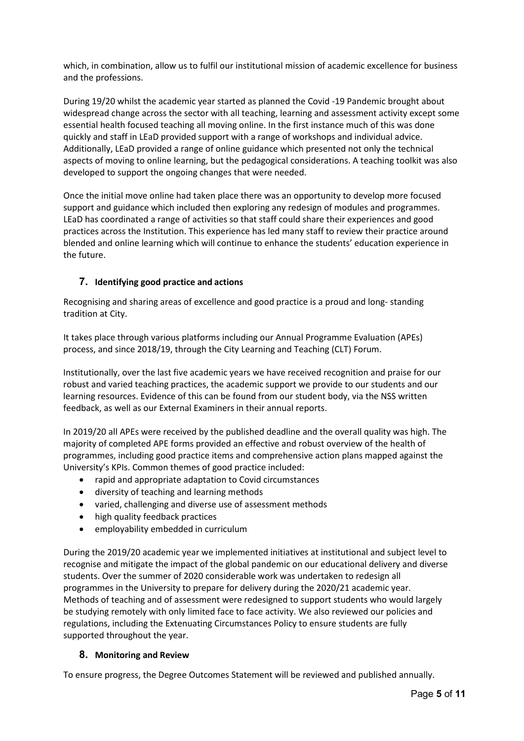which, in combination, allow us to fulfil our institutional mission of academic excellence for business and the professions.

During 19/20 whilst the academic year started as planned the Covid -19 Pandemic brought about widespread change across the sector with all teaching, learning and assessment activity except some essential health focused teaching all moving online. In the first instance much of this was done quickly and staff in LEaD provided support with a range of workshops and individual advice. Additionally, LEaD provided a range of online guidance which presented not only the technical aspects of moving to online learning, but the pedagogical considerations. A teaching toolkit was also developed to support the ongoing changes that were needed.

Once the initial move online had taken place there was an opportunity to develop more focused support and guidance which included then exploring any redesign of modules and programmes. LEaD has coordinated a range of activities so that staff could share their experiences and good practices across the Institution. This experience has led many staff to review their practice around blended and online learning which will continue to enhance the students' education experience in the future.

## **7. Identifying good practice and actions**

Recognising and sharing areas of excellence and good practice is a proud and long- standing tradition at City.

It takes place through various platforms including our Annual Programme Evaluation (APEs) process, and since 2018/19, through the City Learning and Teaching (CLT) Forum.

Institutionally, over the last five academic years we have received recognition and praise for our robust and varied teaching practices, the academic support we provide to our students and our learning resources. Evidence of this can be found from our student body, via the NSS written feedback, as well as our External Examiners in their annual reports.

In 2019/20 all APEs were received by the published deadline and the overall quality was high. The majority of completed APE forms provided an effective and robust overview of the health of programmes, including good practice items and comprehensive action plans mapped against the University's KPIs. Common themes of good practice included:

- rapid and appropriate adaptation to Covid circumstances
- diversity of teaching and learning methods
- varied, challenging and diverse use of assessment methods
- high quality feedback practices
- employability embedded in curriculum

During the 2019/20 academic year we implemented initiatives at institutional and subject level to recognise and mitigate the impact of the global pandemic on our educational delivery and diverse students. Over the summer of 2020 considerable work was undertaken to redesign all programmes in the University to prepare for delivery during the 2020/21 academic year. Methods of teaching and of assessment were redesigned to support students who would largely be studying remotely with only limited face to face activity. We also reviewed our policies and regulations, including the Extenuating Circumstances Policy to ensure students are fully supported throughout the year.

#### **8. Monitoring and Review**

To ensure progress, the Degree Outcomes Statement will be reviewed and published annually.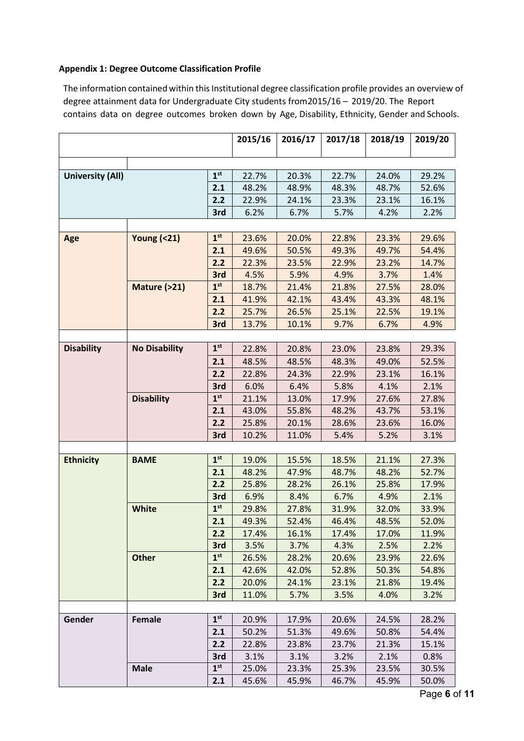#### **Appendix 1: Degree Outcome Classification Profile**

The information contained within this Institutional degree classification profile provides an overview of degree attainment data for Undergraduate City students from2015/16 – 2019/20. The Report contains data on degree outcomes broken down by Age, Disability, Ethnicity, Gender and Schools.

|                         |                       |                 | 2015/16 | 2016/17 | 2017/18 | 2018/19 | 2019/20 |
|-------------------------|-----------------------|-----------------|---------|---------|---------|---------|---------|
|                         |                       |                 |         |         |         |         |         |
|                         |                       |                 |         |         |         |         |         |
| <b>University (All)</b> |                       | 1 <sup>st</sup> | 22.7%   | 20.3%   | 22.7%   | 24.0%   | 29.2%   |
|                         |                       | 2.1             | 48.2%   | 48.9%   | 48.3%   | 48.7%   | 52.6%   |
|                         |                       | 2.2             | 22.9%   | 24.1%   | 23.3%   | 23.1%   | 16.1%   |
|                         |                       | 3rd             | 6.2%    | 6.7%    | 5.7%    | 4.2%    | 2.2%    |
|                         |                       |                 |         |         |         |         |         |
| Age                     | <b>Young (&lt;21)</b> | 1 <sup>st</sup> | 23.6%   | 20.0%   | 22.8%   | 23.3%   | 29.6%   |
|                         |                       | 2.1             | 49.6%   | 50.5%   | 49.3%   | 49.7%   | 54.4%   |
|                         |                       | 2.2             | 22.3%   | 23.5%   | 22.9%   | 23.2%   | 14.7%   |
|                         |                       | 3rd             | 4.5%    | 5.9%    | 4.9%    | 3.7%    | 1.4%    |
|                         | Mature (>21)          | 1 <sup>st</sup> | 18.7%   | 21.4%   | 21.8%   | 27.5%   | 28.0%   |
|                         |                       | 2.1             | 41.9%   | 42.1%   | 43.4%   | 43.3%   | 48.1%   |
|                         |                       | 2.2             | 25.7%   | 26.5%   | 25.1%   | 22.5%   | 19.1%   |
|                         |                       | 3rd             | 13.7%   | 10.1%   | 9.7%    | 6.7%    | 4.9%    |
|                         |                       |                 |         |         |         |         |         |
| <b>Disability</b>       | <b>No Disability</b>  | 1 <sup>st</sup> | 22.8%   | 20.8%   | 23.0%   | 23.8%   | 29.3%   |
|                         |                       | 2.1             | 48.5%   | 48.5%   | 48.3%   | 49.0%   | 52.5%   |
|                         |                       | 2.2             | 22.8%   | 24.3%   | 22.9%   | 23.1%   | 16.1%   |
|                         |                       | 3rd             | 6.0%    | 6.4%    | 5.8%    | 4.1%    | 2.1%    |
|                         | <b>Disability</b>     | 1 <sup>st</sup> | 21.1%   | 13.0%   | 17.9%   | 27.6%   | 27.8%   |
|                         |                       | 2.1             | 43.0%   | 55.8%   | 48.2%   | 43.7%   | 53.1%   |
|                         |                       | 2.2             | 25.8%   | 20.1%   | 28.6%   | 23.6%   | 16.0%   |
|                         |                       | 3rd             | 10.2%   | 11.0%   | 5.4%    | 5.2%    | 3.1%    |
|                         |                       |                 |         |         |         |         |         |
| <b>Ethnicity</b>        | <b>BAME</b>           | 1 <sup>st</sup> | 19.0%   | 15.5%   | 18.5%   | 21.1%   | 27.3%   |
|                         |                       | 2.1             | 48.2%   | 47.9%   | 48.7%   | 48.2%   | 52.7%   |
|                         |                       | 2.2             | 25.8%   | 28.2%   | 26.1%   | 25.8%   | 17.9%   |
|                         |                       | 3rd             | 6.9%    | 8.4%    | 6.7%    | 4.9%    | 2.1%    |
|                         | White                 | 1 <sup>st</sup> | 29.8%   | 27.8%   | 31.9%   | 32.0%   | 33.9%   |
|                         |                       | 2.1             | 49.3%   | 52.4%   | 46.4%   | 48.5%   | 52.0%   |
|                         |                       | 2.2             | 17.4%   | 16.1%   | 17.4%   | 17.0%   | 11.9%   |
|                         |                       | 3rd             | 3.5%    | 3.7%    | 4.3%    | 2.5%    | 2.2%    |
|                         | <b>Other</b>          | 1 <sup>st</sup> | 26.5%   | 28.2%   | 20.6%   | 23.9%   | 22.6%   |
|                         |                       | 2.1             | 42.6%   | 42.0%   | 52.8%   | 50.3%   | 54.8%   |
|                         |                       | 2.2             | 20.0%   | 24.1%   | 23.1%   | 21.8%   | 19.4%   |
|                         |                       | 3rd             | 11.0%   | 5.7%    | 3.5%    | 4.0%    | 3.2%    |
|                         |                       |                 |         |         |         |         |         |
| Gender                  | Female                | 1 <sup>st</sup> | 20.9%   | 17.9%   | 20.6%   | 24.5%   | 28.2%   |
|                         |                       | 2.1             | 50.2%   | 51.3%   | 49.6%   | 50.8%   | 54.4%   |
|                         |                       | 2.2             | 22.8%   | 23.8%   | 23.7%   | 21.3%   | 15.1%   |
|                         |                       | 3rd             | 3.1%    | 3.1%    | 3.2%    | 2.1%    | 0.8%    |
|                         | <b>Male</b>           | 1 <sup>st</sup> | 25.0%   | 23.3%   | 25.3%   | 23.5%   | 30.5%   |
|                         |                       | 2.1             | 45.6%   | 45.9%   | 46.7%   | 45.9%   | 50.0%   |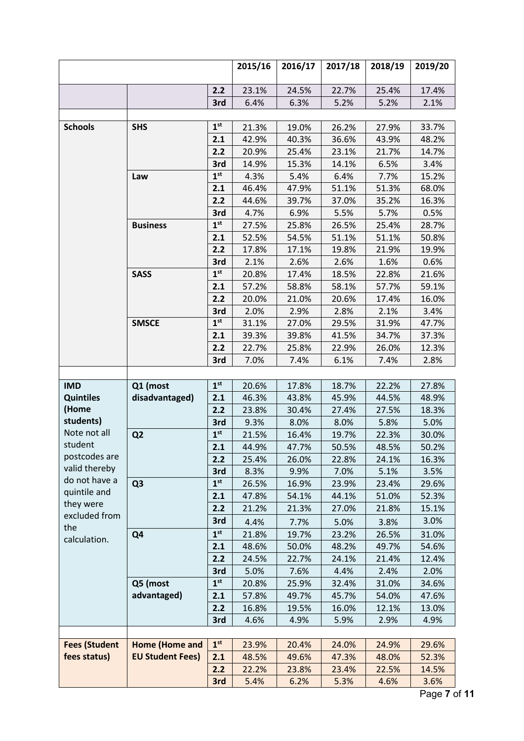|                            |                         |                 | 2015/16 | 2016/17 | 2017/18 | 2018/19 | 2019/20 |
|----------------------------|-------------------------|-----------------|---------|---------|---------|---------|---------|
|                            |                         | 2.2             | 23.1%   | 24.5%   | 22.7%   | 25.4%   | 17.4%   |
|                            |                         | 3rd             | 6.4%    | 6.3%    | 5.2%    | 5.2%    | 2.1%    |
|                            |                         |                 |         |         |         |         |         |
| <b>Schools</b>             | <b>SHS</b>              | 1 <sup>st</sup> | 21.3%   | 19.0%   | 26.2%   | 27.9%   | 33.7%   |
|                            |                         | 2.1             | 42.9%   | 40.3%   | 36.6%   | 43.9%   | 48.2%   |
|                            |                         | 2.2             | 20.9%   | 25.4%   | 23.1%   | 21.7%   | 14.7%   |
|                            |                         | 3rd             | 14.9%   | 15.3%   | 14.1%   | 6.5%    | 3.4%    |
|                            | Law                     | 1 <sup>st</sup> | 4.3%    | 5.4%    | 6.4%    | 7.7%    | 15.2%   |
|                            |                         | 2.1             | 46.4%   | 47.9%   | 51.1%   | 51.3%   | 68.0%   |
|                            |                         | 2.2             | 44.6%   | 39.7%   | 37.0%   | 35.2%   | 16.3%   |
|                            |                         | 3rd             | 4.7%    | 6.9%    | 5.5%    | 5.7%    | 0.5%    |
|                            | <b>Business</b>         | 1 <sup>st</sup> | 27.5%   | 25.8%   | 26.5%   | 25.4%   | 28.7%   |
|                            |                         | 2.1             | 52.5%   | 54.5%   | 51.1%   | 51.1%   | 50.8%   |
|                            |                         | 2.2             | 17.8%   | 17.1%   | 19.8%   | 21.9%   | 19.9%   |
|                            |                         | 3rd             | 2.1%    | 2.6%    | 2.6%    | 1.6%    | 0.6%    |
|                            | <b>SASS</b>             | 1 <sup>st</sup> | 20.8%   | 17.4%   | 18.5%   | 22.8%   | 21.6%   |
|                            |                         | 2.1             | 57.2%   | 58.8%   | 58.1%   | 57.7%   | 59.1%   |
|                            |                         | 2.2             | 20.0%   | 21.0%   | 20.6%   | 17.4%   | 16.0%   |
|                            |                         | 3rd             | 2.0%    | 2.9%    | 2.8%    | 2.1%    | 3.4%    |
|                            | <b>SMSCE</b>            | 1 <sup>st</sup> | 31.1%   | 27.0%   | 29.5%   | 31.9%   | 47.7%   |
|                            |                         | 2.1             | 39.3%   | 39.8%   | 41.5%   | 34.7%   | 37.3%   |
|                            |                         | 2.2             | 22.7%   | 25.8%   | 22.9%   | 26.0%   | 12.3%   |
|                            |                         | 3rd             | 7.0%    | 7.4%    | 6.1%    | 7.4%    | 2.8%    |
|                            |                         |                 |         |         |         |         |         |
| <b>IMD</b>                 | Q1 (most                | 1 <sup>st</sup> | 20.6%   | 17.8%   | 18.7%   | 22.2%   | 27.8%   |
| <b>Quintiles</b>           | disadvantaged)          | 2.1             | 46.3%   | 43.8%   | 45.9%   | 44.5%   | 48.9%   |
| (Home                      |                         | 2.2             | 23.8%   | 30.4%   | 27.4%   | 27.5%   | 18.3%   |
| students)                  |                         | 3rd             | 9.3%    | 8.0%    | 8.0%    | 5.8%    | 5.0%    |
| Note not all               | Q <sub>2</sub>          | 1 <sup>st</sup> | 21.5%   | 16.4%   | 19.7%   | 22.3%   | 30.0%   |
| student                    |                         | 2.1             | 44.9%   | 47.7%   | 50.5%   | 48.5%   | 50.2%   |
| postcodes are              |                         | 2.2             | 25.4%   | 26.0%   | 22.8%   | 24.1%   | 16.3%   |
| valid thereby              |                         | 3rd             | 8.3%    | 9.9%    | 7.0%    | 5.1%    | 3.5%    |
| do not have a              | Q <sub>3</sub>          | 1 <sup>st</sup> | 26.5%   | 16.9%   | 23.9%   | 23.4%   | 29.6%   |
| quintile and               |                         | 2.1             | 47.8%   | 54.1%   | 44.1%   | 51.0%   | 52.3%   |
| they were<br>excluded from |                         | 2.2             | 21.2%   | 21.3%   | 27.0%   | 21.8%   | 15.1%   |
| the                        |                         | 3rd             | 4.4%    | 7.7%    | 5.0%    | 3.8%    | 3.0%    |
| calculation.               | Q4                      | 1 <sup>st</sup> | 21.8%   | 19.7%   | 23.2%   | 26.5%   | 31.0%   |
|                            |                         | 2.1             | 48.6%   | 50.0%   | 48.2%   | 49.7%   | 54.6%   |
|                            |                         | 2.2             | 24.5%   | 22.7%   | 24.1%   | 21.4%   | 12.4%   |
|                            |                         | 3rd             | 5.0%    | 7.6%    | 4.4%    | 2.4%    | 2.0%    |
|                            | Q5 (most                | 1 <sup>st</sup> | 20.8%   | 25.9%   | 32.4%   | 31.0%   | 34.6%   |
|                            | advantaged)             | 2.1             | 57.8%   | 49.7%   | 45.7%   | 54.0%   | 47.6%   |
|                            |                         | 2.2             | 16.8%   | 19.5%   | 16.0%   | 12.1%   | 13.0%   |
|                            |                         | 3rd             | 4.6%    | 4.9%    | 5.9%    | 2.9%    | 4.9%    |
|                            |                         |                 |         |         |         |         |         |
| <b>Fees (Student</b>       | Home (Home and          | 1 <sup>st</sup> | 23.9%   | 20.4%   | 24.0%   | 24.9%   | 29.6%   |
| fees status)               | <b>EU Student Fees)</b> | 2.1             | 48.5%   | 49.6%   | 47.3%   | 48.0%   | 52.3%   |
|                            |                         | 2.2             | 22.2%   | 23.8%   | 23.4%   | 22.5%   | 14.5%   |
|                            |                         | 3rd             | 5.4%    | 6.2%    | 5.3%    | 4.6%    | 3.6%    |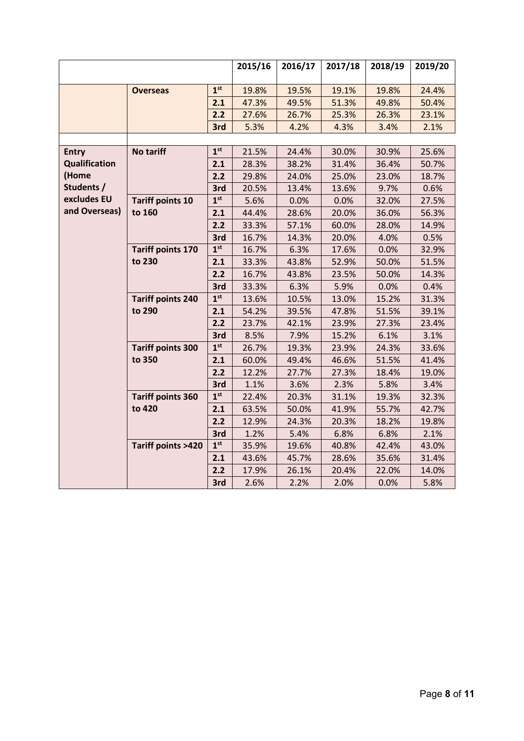|                      |                              | 2015/16         | 2016/17 | 2017/18 | 2018/19 | 2019/20 |       |
|----------------------|------------------------------|-----------------|---------|---------|---------|---------|-------|
|                      |                              |                 |         |         |         |         |       |
|                      | <b>Overseas</b>              | 1 <sup>st</sup> | 19.8%   | 19.5%   | 19.1%   | 19.8%   | 24.4% |
|                      |                              | 2.1             | 47.3%   | 49.5%   | 51.3%   | 49.8%   | 50.4% |
|                      |                              | 2.2             | 27.6%   | 26.7%   | 25.3%   | 26.3%   | 23.1% |
|                      |                              | 3rd             | 5.3%    | 4.2%    | 4.3%    | 3.4%    | 2.1%  |
|                      |                              |                 |         |         |         |         |       |
| <b>Entry</b>         | No tariff                    | 1 <sup>st</sup> | 21.5%   | 24.4%   | 30.0%   | 30.9%   | 25.6% |
| <b>Qualification</b> |                              | 2.1             | 28.3%   | 38.2%   | 31.4%   | 36.4%   | 50.7% |
| (Home                |                              | 2.2             | 29.8%   | 24.0%   | 25.0%   | 23.0%   | 18.7% |
| Students /           |                              | 3rd             | 20.5%   | 13.4%   | 13.6%   | 9.7%    | 0.6%  |
| excludes EU          | <b>Tariff points 10</b>      | 1 <sup>st</sup> | 5.6%    | 0.0%    | 0.0%    | 32.0%   | 27.5% |
| and Overseas)        | to 160                       | 2.1             | 44.4%   | 28.6%   | 20.0%   | 36.0%   | 56.3% |
|                      |                              | 2.2             | 33.3%   | 57.1%   | 60.0%   | 28.0%   | 14.9% |
|                      |                              | 3rd             | 16.7%   | 14.3%   | 20.0%   | 4.0%    | 0.5%  |
|                      | <b>Tariff points 170</b>     | 1 <sup>st</sup> | 16.7%   | 6.3%    | 17.6%   | 0.0%    | 32.9% |
|                      | to 230                       | 2.1             | 33.3%   | 43.8%   | 52.9%   | 50.0%   | 51.5% |
|                      |                              | 2.2             | 16.7%   | 43.8%   | 23.5%   | 50.0%   | 14.3% |
|                      |                              | 3rd             | 33.3%   | 6.3%    | 5.9%    | 0.0%    | 0.4%  |
|                      | <b>Tariff points 240</b>     | 1 <sup>st</sup> | 13.6%   | 10.5%   | 13.0%   | 15.2%   | 31.3% |
|                      | to 290                       | 2.1             | 54.2%   | 39.5%   | 47.8%   | 51.5%   | 39.1% |
|                      |                              | 2.2             | 23.7%   | 42.1%   | 23.9%   | 27.3%   | 23.4% |
|                      |                              | 3rd             | 8.5%    | 7.9%    | 15.2%   | 6.1%    | 3.1%  |
|                      | <b>Tariff points 300</b>     | 1 <sup>st</sup> | 26.7%   | 19.3%   | 23.9%   | 24.3%   | 33.6% |
|                      | to 350                       | 2.1             | 60.0%   | 49.4%   | 46.6%   | 51.5%   | 41.4% |
|                      |                              | 2.2             | 12.2%   | 27.7%   | 27.3%   | 18.4%   | 19.0% |
|                      |                              | 3rd             | 1.1%    | 3.6%    | 2.3%    | 5.8%    | 3.4%  |
|                      | <b>Tariff points 360</b>     | 1 <sup>st</sup> | 22.4%   | 20.3%   | 31.1%   | 19.3%   | 32.3% |
|                      | to 420                       | 2.1             | 63.5%   | 50.0%   | 41.9%   | 55.7%   | 42.7% |
|                      |                              | 2.2             | 12.9%   | 24.3%   | 20.3%   | 18.2%   | 19.8% |
|                      |                              | 3rd             | 1.2%    | 5.4%    | 6.8%    | 6.8%    | 2.1%  |
|                      | <b>Tariff points &gt;420</b> | 1 <sup>st</sup> | 35.9%   | 19.6%   | 40.8%   | 42.4%   | 43.0% |
|                      |                              | 2.1             | 43.6%   | 45.7%   | 28.6%   | 35.6%   | 31.4% |
|                      |                              | 2.2             | 17.9%   | 26.1%   | 20.4%   | 22.0%   | 14.0% |
|                      |                              | 3rd             | 2.6%    | 2.2%    | 2.0%    | 0.0%    | 5.8%  |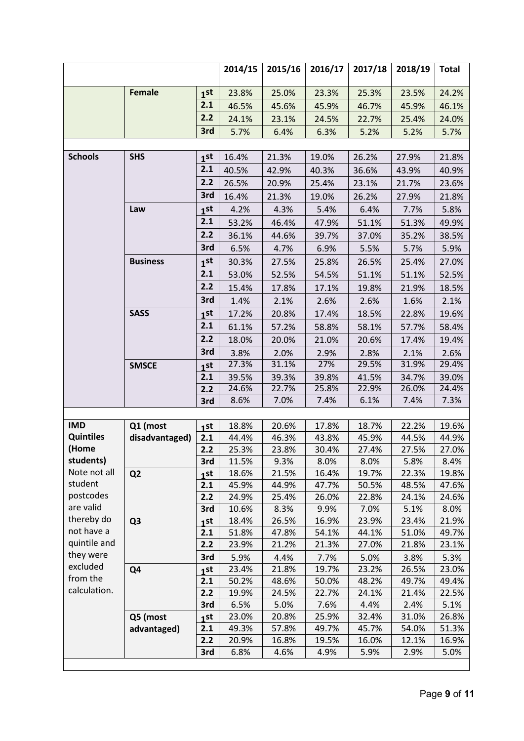|                           |                 |                 | 2014/15        | 2015/16       | 2016/17       | 2017/18       | 2018/19       | <b>Total</b>  |
|---------------------------|-----------------|-----------------|----------------|---------------|---------------|---------------|---------------|---------------|
|                           | <b>Female</b>   | 1 <sub>st</sub> | 23.8%          | 25.0%         | 23.3%         | 25.3%         | 23.5%         | 24.2%         |
|                           |                 | 2.1             | 46.5%          | 45.6%         | 45.9%         | 46.7%         | 45.9%         | 46.1%         |
|                           |                 | 2.2             | 24.1%          | 23.1%         | 24.5%         | 22.7%         | 25.4%         | 24.0%         |
|                           |                 | 3rd             | 5.7%           | 6.4%          | 6.3%          | 5.2%          | 5.2%          | 5.7%          |
|                           |                 |                 |                |               |               |               |               |               |
| <b>Schools</b>            | <b>SHS</b>      | 1 <sup>st</sup> | 16.4%          | 21.3%         | 19.0%         | 26.2%         | 27.9%         | 21.8%         |
|                           |                 | 2.1             | 40.5%          | 42.9%         | 40.3%         | 36.6%         | 43.9%         | 40.9%         |
|                           |                 | 2.2             | 26.5%          | 20.9%         | 25.4%         | 23.1%         | 21.7%         | 23.6%         |
|                           |                 | 3rd             | 16.4%          | 21.3%         | 19.0%         | 26.2%         | 27.9%         | 21.8%         |
|                           | Law             | 1 <sup>st</sup> | 4.2%           | 4.3%          | 5.4%          | 6.4%          | 7.7%          | 5.8%          |
|                           |                 | 2.1             |                |               |               |               |               |               |
|                           |                 | 2.2             | 53.2%          | 46.4%         | 47.9%         | 51.1%         | 51.3%         | 49.9%         |
|                           |                 |                 | 36.1%          | 44.6%         | 39.7%         | 37.0%         | 35.2%         | 38.5%         |
|                           |                 | 3rd             | 6.5%           | 4.7%          | 6.9%          | 5.5%          | 5.7%          | 5.9%          |
|                           | <b>Business</b> | 1 <sub>st</sub> | 30.3%          | 27.5%         | 25.8%         | 26.5%         | 25.4%         | 27.0%         |
|                           |                 | 2.1             | 53.0%          | 52.5%         | 54.5%         | 51.1%         | 51.1%         | 52.5%         |
|                           |                 | 2.2             | 15.4%          | 17.8%         | 17.1%         | 19.8%         | 21.9%         | 18.5%         |
|                           |                 | 3rd             | 1.4%           | 2.1%          | 2.6%          | 2.6%          | 1.6%          | 2.1%          |
|                           | <b>SASS</b>     | 1 <sub>st</sub> | 17.2%          | 20.8%         | 17.4%         | 18.5%         | 22.8%         | 19.6%         |
|                           |                 | 2.1             | 61.1%          | 57.2%         | 58.8%         | 58.1%         | 57.7%         | 58.4%         |
|                           |                 | 2.2             | 18.0%          | 20.0%         | 21.0%         | 20.6%         | 17.4%         | 19.4%         |
|                           |                 | 3rd             | 3.8%           | 2.0%          | 2.9%          | 2.8%          | 2.1%          | 2.6%          |
|                           | <b>SMSCE</b>    | 1 <sub>st</sub> | 27.3%          | 31.1%         | 27%           | 29.5%         | 31.9%         | 29.4%         |
|                           |                 | 2.1             | 39.5%          | 39.3%         | 39.8%         | 41.5%         | 34.7%         | 39.0%         |
|                           |                 | 2.2             | 24.6%          | 22.7%         | 25.8%         | 22.9%         | 26.0%         | 24.4%         |
|                           |                 | 3rd             | 8.6%           | 7.0%          | 7.4%          | 6.1%          | 7.4%          | 7.3%          |
|                           |                 |                 |                |               |               |               |               |               |
| <b>IMD</b>                | Q1 (most        | 1 <sub>st</sub> | 18.8%          | 20.6%         | 17.8%         | 18.7%         | 22.2%         | 19.6%         |
| <b>Quintiles</b><br>(Home | disadvantaged)  | 2.1             | 44.4%          | 46.3%         | 43.8%         | 45.9%         | 44.5%         | 44.9%         |
| students)                 |                 | 2.2             | 25.3%<br>11.5% | 23.8%         | 30.4%<br>8.0% | 27.4%         | 27.5%<br>5.8% | 27.0%         |
| Note not all              | Q <sub>2</sub>  | 3rd<br>1st      | 18.6%          | 9.3%<br>21.5% | 16.4%         | 8.0%<br>19.7% | 22.3%         | 8.4%<br>19.8% |
| student                   |                 | 2.1             | 45.9%          | 44.9%         | 47.7%         | 50.5%         | 48.5%         | 47.6%         |
| postcodes                 |                 | 2.2             | 24.9%          | 25.4%         | 26.0%         | 22.8%         | 24.1%         | 24.6%         |
| are valid                 |                 | 3rd             | 10.6%          | 8.3%          | 9.9%          | 7.0%          | 5.1%          | 8.0%          |
| thereby do                | Q <sub>3</sub>  | 1st             | 18.4%          | 26.5%         | 16.9%         | 23.9%         | 23.4%         | 21.9%         |
| not have a                |                 | 2.1             | 51.8%          | 47.8%         | 54.1%         | 44.1%         | 51.0%         | 49.7%         |
| quintile and              |                 | 2.2             | 23.9%          | 21.2%         | 21.3%         | 27.0%         | 21.8%         | 23.1%         |
| they were                 |                 | 3rd             | 5.9%           | 4.4%          | 7.7%          | 5.0%          | 3.8%          | 5.3%          |
| excluded                  | Q <sub>4</sub>  | 1st             | 23.4%          | 21.8%         | 19.7%         | 23.2%         | 26.5%         | 23.0%         |
| from the                  |                 | 2.1             | 50.2%          | 48.6%         | 50.0%         | 48.2%         | 49.7%         | 49.4%         |
| calculation.              |                 | 2.2             | 19.9%          | 24.5%         | 22.7%         | 24.1%         | 21.4%         | 22.5%         |
|                           |                 | 3rd             | 6.5%           | 5.0%          | 7.6%          | 4.4%          | 2.4%          | 5.1%          |
|                           | Q5 (most        | 1st             | 23.0%          | 20.8%         | 25.9%         | 32.4%         | 31.0%         | 26.8%         |
|                           | advantaged)     | 2.1             | 49.3%          | 57.8%         | 49.7%         | 45.7%         | 54.0%         | 51.3%         |
|                           |                 | 2.2             | 20.9%          | 16.8%         | 19.5%         | 16.0%         | 12.1%         | 16.9%         |
|                           |                 | 3rd             | 6.8%           | 4.6%          | 4.9%          | 5.9%          | 2.9%          | 5.0%          |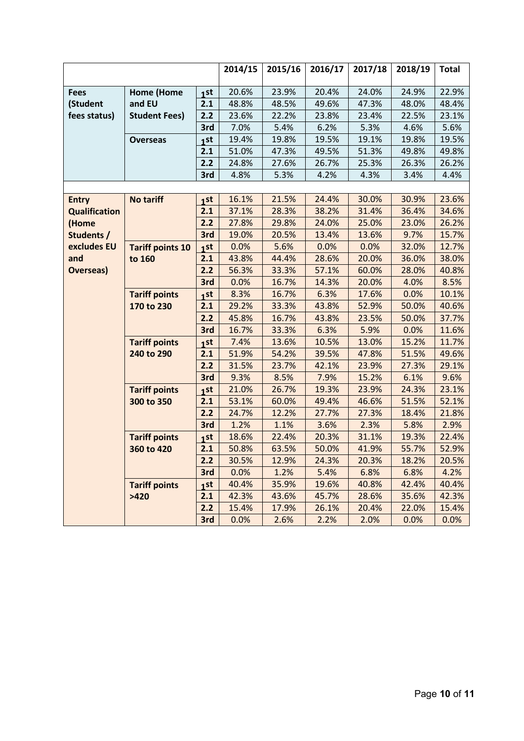|                      |                         |                 | 2014/15 | 2015/16 | 2016/17 | 2017/18 | 2018/19 | <b>Total</b> |
|----------------------|-------------------------|-----------------|---------|---------|---------|---------|---------|--------------|
|                      |                         |                 |         |         |         |         |         |              |
| <b>Fees</b>          | <b>Home (Home</b>       | 1st             | 20.6%   | 23.9%   | 20.4%   | 24.0%   | 24.9%   | 22.9%        |
| (Student             | and EU                  | 2.1             | 48.8%   | 48.5%   | 49.6%   | 47.3%   | 48.0%   | 48.4%        |
| fees status)         | <b>Student Fees)</b>    | 2.2             | 23.6%   | 22.2%   | 23.8%   | 23.4%   | 22.5%   | 23.1%        |
|                      |                         | 3rd             | 7.0%    | 5.4%    | 6.2%    | 5.3%    | 4.6%    | 5.6%         |
|                      | <b>Overseas</b>         | 1st             | 19.4%   | 19.8%   | 19.5%   | 19.1%   | 19.8%   | 19.5%        |
|                      |                         | 2.1             | 51.0%   | 47.3%   | 49.5%   | 51.3%   | 49.8%   | 49.8%        |
|                      |                         | 2.2             | 24.8%   | 27.6%   | 26.7%   | 25.3%   | 26.3%   | 26.2%        |
|                      |                         | 3rd             | 4.8%    | 5.3%    | 4.2%    | 4.3%    | 3.4%    | 4.4%         |
|                      |                         |                 |         |         |         |         |         |              |
| <b>Entry</b>         | <b>No tariff</b>        | 1 <sub>st</sub> | 16.1%   | 21.5%   | 24.4%   | 30.0%   | 30.9%   | 23.6%        |
| <b>Qualification</b> |                         | 2.1             | 37.1%   | 28.3%   | 38.2%   | 31.4%   | 36.4%   | 34.6%        |
| (Home                |                         | 2.2             | 27.8%   | 29.8%   | 24.0%   | 25.0%   | 23.0%   | 26.2%        |
| Students /           |                         | 3rd             | 19.0%   | 20.5%   | 13.4%   | 13.6%   | 9.7%    | 15.7%        |
| excludes EU          | <b>Tariff points 10</b> | 1 <sub>st</sub> | 0.0%    | 5.6%    | 0.0%    | 0.0%    | 32.0%   | 12.7%        |
| and                  | to 160                  | 2.1             | 43.8%   | 44.4%   | 28.6%   | 20.0%   | 36.0%   | 38.0%        |
| <b>Overseas</b> )    |                         | 2.2             | 56.3%   | 33.3%   | 57.1%   | 60.0%   | 28.0%   | 40.8%        |
|                      |                         | 3rd             | 0.0%    | 16.7%   | 14.3%   | 20.0%   | 4.0%    | 8.5%         |
|                      | <b>Tariff points</b>    | 1 <sub>st</sub> | 8.3%    | 16.7%   | 6.3%    | 17.6%   | 0.0%    | 10.1%        |
|                      | 170 to 230              | 2.1             | 29.2%   | 33.3%   | 43.8%   | 52.9%   | 50.0%   | 40.6%        |
|                      |                         | 2.2             | 45.8%   | 16.7%   | 43.8%   | 23.5%   | 50.0%   | 37.7%        |
|                      |                         | 3rd             | 16.7%   | 33.3%   | 6.3%    | 5.9%    | 0.0%    | 11.6%        |
|                      | <b>Tariff points</b>    | 1 <sub>st</sub> | 7.4%    | 13.6%   | 10.5%   | 13.0%   | 15.2%   | 11.7%        |
|                      | 240 to 290              | 2.1             | 51.9%   | 54.2%   | 39.5%   | 47.8%   | 51.5%   | 49.6%        |
|                      |                         | 2.2             | 31.5%   | 23.7%   | 42.1%   | 23.9%   | 27.3%   | 29.1%        |
|                      |                         | 3rd             | 9.3%    | 8.5%    | 7.9%    | 15.2%   | 6.1%    | 9.6%         |
|                      | <b>Tariff points</b>    | 1 <sub>st</sub> | 21.0%   | 26.7%   | 19.3%   | 23.9%   | 24.3%   | 23.1%        |
|                      | 300 to 350              | 2.1             | 53.1%   | 60.0%   | 49.4%   | 46.6%   | 51.5%   | 52.1%        |
|                      |                         | 2.2             | 24.7%   | 12.2%   | 27.7%   | 27.3%   | 18.4%   | 21.8%        |
|                      |                         | 3rd             | 1.2%    | 1.1%    | 3.6%    | 2.3%    | 5.8%    | 2.9%         |
|                      | <b>Tariff points</b>    | 1 <sub>st</sub> | 18.6%   | 22.4%   | 20.3%   | 31.1%   | 19.3%   | 22.4%        |
|                      | 360 to 420              | 2.1             | 50.8%   | 63.5%   | 50.0%   | 41.9%   | 55.7%   | 52.9%        |
|                      |                         | 2.2             | 30.5%   | 12.9%   | 24.3%   | 20.3%   | 18.2%   | 20.5%        |
|                      |                         | 3rd             | 0.0%    | 1.2%    | 5.4%    | 6.8%    | 6.8%    | 4.2%         |
|                      | <b>Tariff points</b>    | 1 <sub>st</sub> | 40.4%   | 35.9%   | 19.6%   | 40.8%   | 42.4%   | 40.4%        |
|                      | >420                    | 2.1             | 42.3%   | 43.6%   | 45.7%   | 28.6%   | 35.6%   | 42.3%        |
|                      |                         | 2.2             | 15.4%   | 17.9%   | 26.1%   | 20.4%   | 22.0%   | 15.4%        |
|                      |                         | 3rd             | 0.0%    | 2.6%    | 2.2%    | 2.0%    | 0.0%    | 0.0%         |